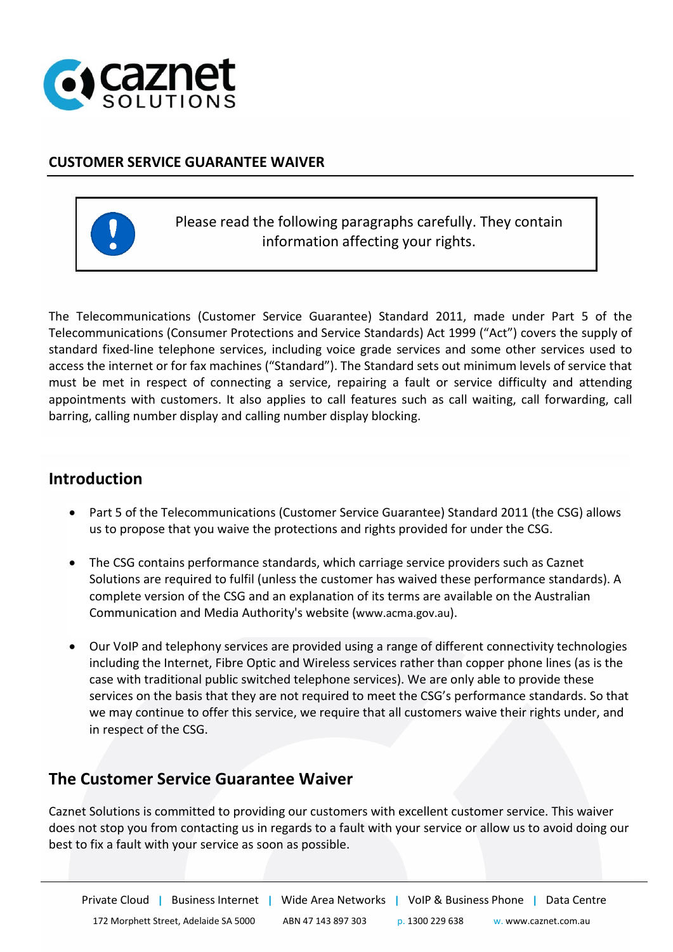

## **CUSTOMER SERVICE GUARANTEE WAIVER**



Please read the following paragraphs carefully. They contain information affecting your rights.

The Telecommunications (Customer Service Guarantee) Standard 2011, made under Part 5 of the Telecommunications (Consumer Protections and Service Standards) Act 1999 ("Act") covers the supply of standard fixed-line telephone services, including voice grade services and some other services used to access the internet or for fax machines ("Standard"). The Standard sets out minimum levels of service that must be met in respect of connecting a service, repairing a fault or service difficulty and attending appointments with customers. It also applies to call features such as call waiting, call forwarding, call barring, calling number display and calling number display blocking.

## **Introduction**

- Part 5 of the Telecommunications (Customer Service Guarantee) Standard 2011 (the CSG) allows us to propose that you waive the protections and rights provided for under the CSG.
- The CSG contains performance standards, which carriage service providers such as Caznet Solutions are required to fulfil (unless the customer has waived these performance standards). A complete version of the CSG and an explanation of its terms are available on the Australian Communication and Media Authority's website [\(www.acma.gov.au\)](http://www.acma.gov.au/).
- Our VoIP and telephony services are provided using a range of different connectivity technologies including the Internet, Fibre Optic and Wireless services rather than copper phone lines (as is the case with traditional public switched telephone services). We are only able to provide these services on the basis that they are not required to meet the CSG's performance standards. So that we may continue to offer this service, we require that all customers waive their rights under, and in respect of the CSG.

## **The Customer Service Guarantee Waiver**

Caznet Solutions is committed to providing our customers with excellent customer service. This waiver does not stop you from contacting us in regards to a fault with your service or allow us to avoid doing our best to fix a fault with your service as soon as possible.